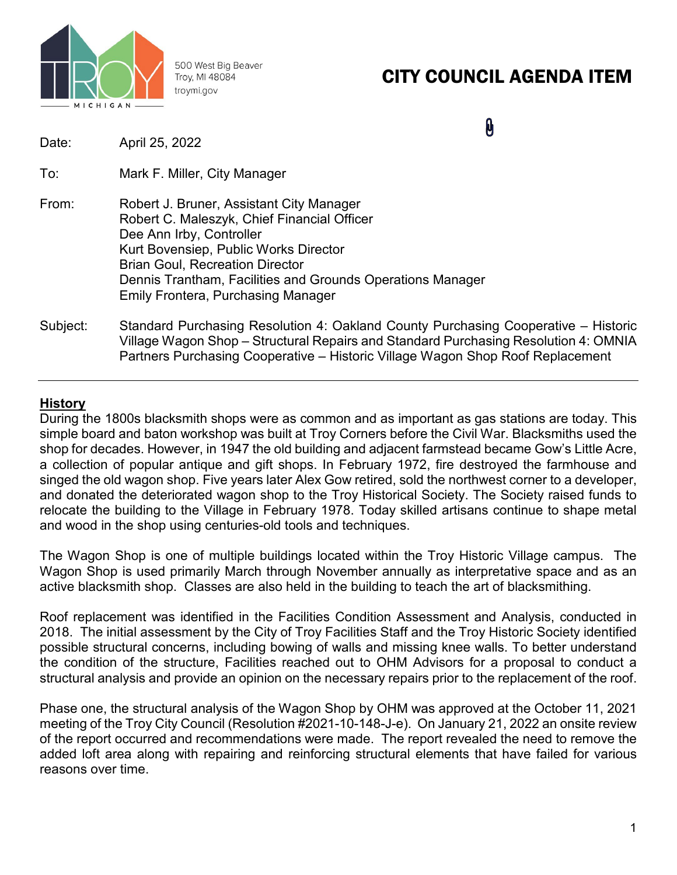

500 West Big Beaver Troy, MI 48084 troymi.gov

# CITY COUNCIL AGENDA ITEM

**A** 

| Date:    | April 25, 2022                                                                                                                                                                                                                                                                                                    |
|----------|-------------------------------------------------------------------------------------------------------------------------------------------------------------------------------------------------------------------------------------------------------------------------------------------------------------------|
| To:      | Mark F. Miller, City Manager                                                                                                                                                                                                                                                                                      |
| From:    | Robert J. Bruner, Assistant City Manager<br>Robert C. Maleszyk, Chief Financial Officer<br>Dee Ann Irby, Controller<br>Kurt Bovensiep, Public Works Director<br><b>Brian Goul, Recreation Director</b><br>Dennis Trantham, Facilities and Grounds Operations Manager<br><b>Emily Frontera, Purchasing Manager</b> |
| Subject: | Standard Purchasing Resolution 4: Oakland County Purchasing Cooperative – Historic<br>Village Wagon Shop – Structural Repairs and Standard Purchasing Resolution 4: OMNIA<br>Partners Purchasing Cooperative – Historic Village Wagon Shop Roof Replacement                                                       |

## **History**

During the 1800s blacksmith shops were as common and as important as gas stations are today. This simple board and baton workshop was built at Troy Corners before the Civil War. Blacksmiths used the shop for decades. However, in 1947 the old building and adjacent farmstead became Gow's Little Acre, a collection of popular antique and gift shops. In February 1972, fire destroyed the farmhouse and singed the old wagon shop. Five years later Alex Gow retired, sold the northwest corner to a developer, and donated the deteriorated wagon shop to the Troy Historical Society. The Society raised funds to relocate the building to the Village in February 1978. Today skilled artisans continue to shape metal and wood in the shop using centuries-old tools and techniques.

The Wagon Shop is one of multiple buildings located within the Troy Historic Village campus. The Wagon Shop is used primarily March through November annually as interpretative space and as an active blacksmith shop. Classes are also held in the building to teach the art of blacksmithing.

Roof replacement was identified in the Facilities Condition Assessment and Analysis, conducted in 2018. The initial assessment by the City of Troy Facilities Staff and the Troy Historic Society identified possible structural concerns, including bowing of walls and missing knee walls. To better understand the condition of the structure, Facilities reached out to OHM Advisors for a proposal to conduct a structural analysis and provide an opinion on the necessary repairs prior to the replacement of the roof.

Phase one, the structural analysis of the Wagon Shop by OHM was approved at the October 11, 2021 meeting of the Troy City Council (Resolution #2021-10-148-J-e). On January 21, 2022 an onsite review of the report occurred and recommendations were made. The report revealed the need to remove the added loft area along with repairing and reinforcing structural elements that have failed for various reasons over time.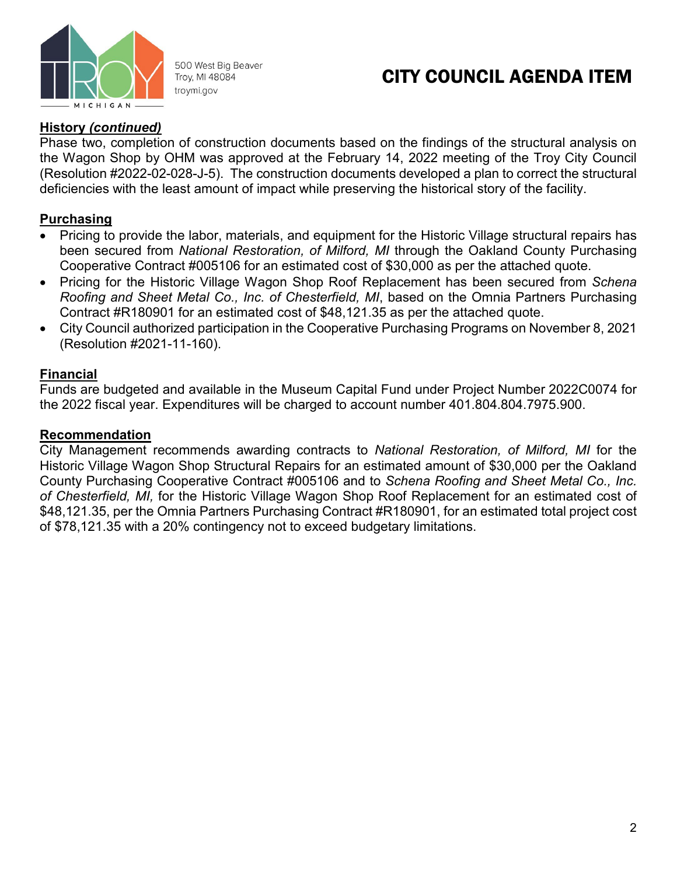

500 West Big Beaver Troy, MI 48084 troymi.gov

## CITY COUNCIL AGENDA ITEM

## **History** *(continued)*

Phase two, completion of construction documents based on the findings of the structural analysis on the Wagon Shop by OHM was approved at the February 14, 2022 meeting of the Troy City Council (Resolution #2022-02-028-J-5). The construction documents developed a plan to correct the structural deficiencies with the least amount of impact while preserving the historical story of the facility.

## **Purchasing**

- Pricing to provide the labor, materials, and equipment for the Historic Village structural repairs has been secured from *National Restoration, of Milford, MI* through the Oakland County Purchasing Cooperative Contract #005106 for an estimated cost of \$30,000 as per the attached quote.
- Pricing for the Historic Village Wagon Shop Roof Replacement has been secured from *Schena Roofing and Sheet Metal Co., Inc. of Chesterfield, MI*, based on the Omnia Partners Purchasing Contract #R180901 for an estimated cost of \$48,121.35 as per the attached quote.
- City Council authorized participation in the Cooperative Purchasing Programs on November 8, 2021 (Resolution #2021-11-160).

## **Financial**

Funds are budgeted and available in the Museum Capital Fund under Project Number 2022C0074 for the 2022 fiscal year. Expenditures will be charged to account number 401.804.804.7975.900.

## **Recommendation**

City Management recommends awarding contracts to *National Restoration, of Milford, MI* for the Historic Village Wagon Shop Structural Repairs for an estimated amount of \$30,000 per the Oakland County Purchasing Cooperative Contract #005106 and to *Schena Roofing and Sheet Metal Co., Inc. of Chesterfield, MI,* for the Historic Village Wagon Shop Roof Replacement for an estimated cost of \$48,121.35, per the Omnia Partners Purchasing Contract #R180901, for an estimated total project cost of \$78,121.35 with a 20% contingency not to exceed budgetary limitations.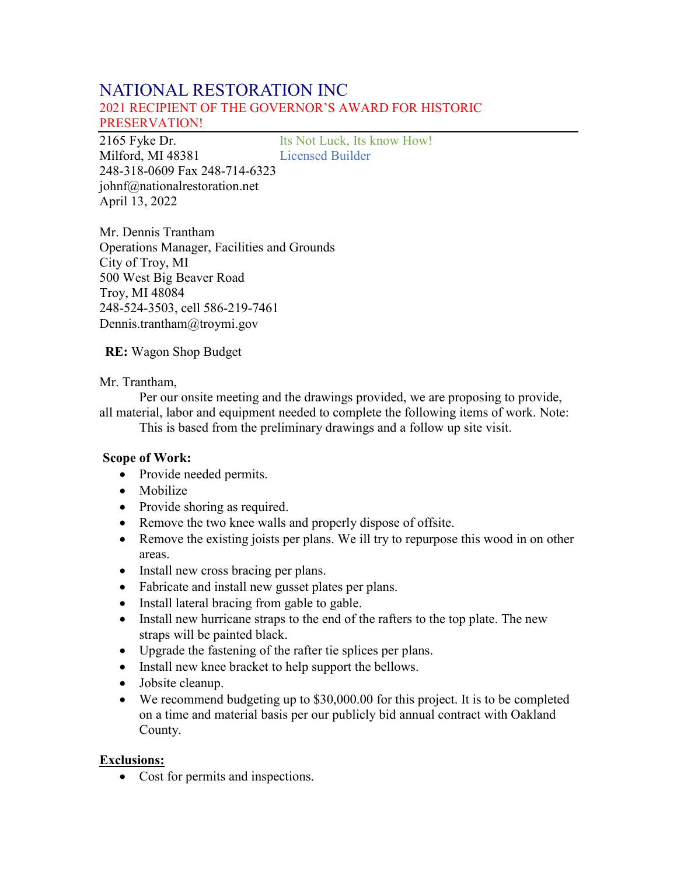## NATIONAL RESTORATION INC 2021 RECIPIENT OF THE GOVERNOR'S AWARD FOR HISTORIC PRESERVATION!

2165 Fyke Dr. Its Not Luck, Its know How! Milford, MI 48381 Licensed Builder 248-318-0609 Fax 248-714-6323 johnf@nationalrestoration.net April 13, 2022

Mr. Dennis Trantham Operations Manager, Facilities and Grounds City of Troy, MI 500 West Big Beaver Road Troy, MI 48084 248-524-3503, cell 586-219-7461 Dennis.trantham@troymi.gov

**RE:** Wagon Shop Budget

Mr. Trantham,

Per our onsite meeting and the drawings provided, we are proposing to provide, all material, labor and equipment needed to complete the following items of work. Note:

This is based from the preliminary drawings and a follow up site visit.

#### **Scope of Work:**

- Provide needed permits.
- Mobilize
- Provide shoring as required.
- Remove the two knee walls and properly dispose of offsite.
- Remove the existing joists per plans. We ill try to repurpose this wood in on other areas.
- Install new cross bracing per plans.
- Fabricate and install new gusset plates per plans.
- Install lateral bracing from gable to gable.
- Install new hurricane straps to the end of the rafters to the top plate. The new straps will be painted black.
- Upgrade the fastening of the rafter tie splices per plans.
- Install new knee bracket to help support the bellows.
- Jobsite cleanup.
- We recommend budgeting up to \$30,000.00 for this project. It is to be completed on a time and material basis per our publicly bid annual contract with Oakland County.

#### **Exclusions:**

• Cost for permits and inspections.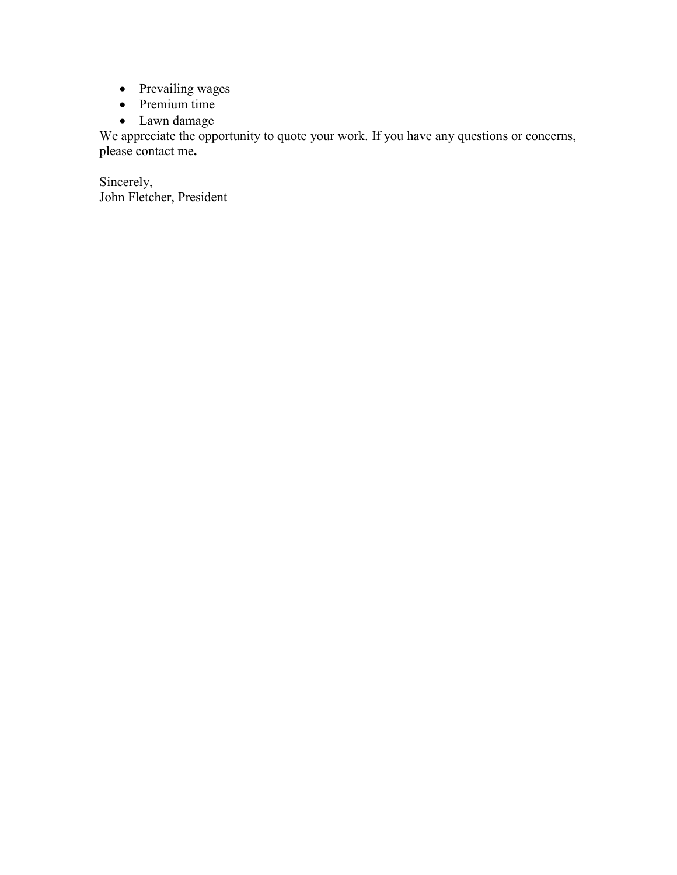- Prevailing wages
- Premium time
- Lawn damage

We appreciate the opportunity to quote your work. If you have any questions or concerns, please contact me**.**

Sincerely, John Fletcher, President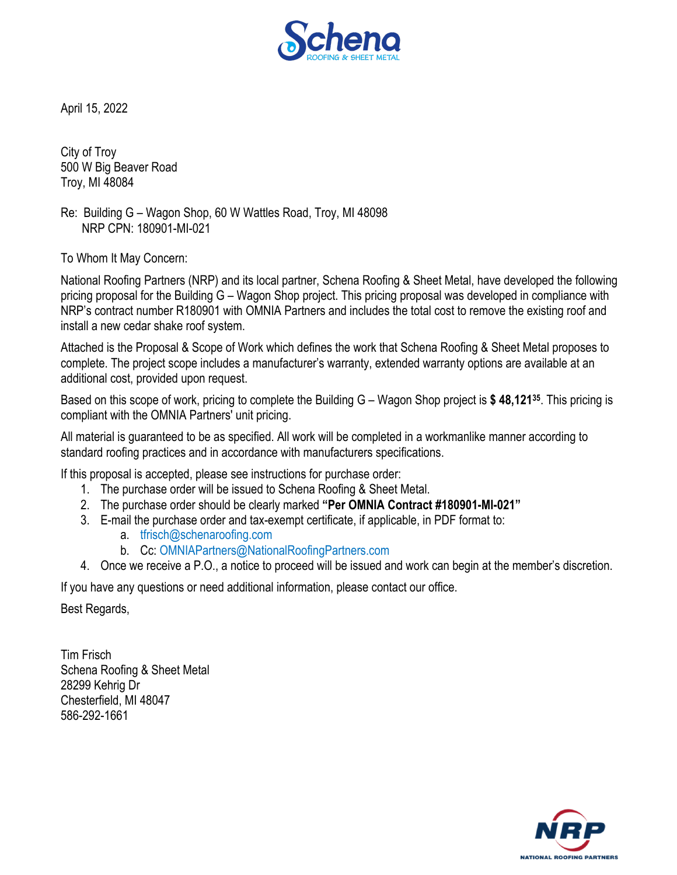

April 15, 2022

City of Troy 500 W Big Beaver Road Troy, MI 48084

Re: Building G – Wagon Shop, 60 W Wattles Road, Troy, MI 48098 NRP CPN: 180901-MI-021

To Whom It May Concern:

National Roofing Partners (NRP) and its local partner, Schena Roofing & Sheet Metal, have developed the following pricing proposal for the Building G – Wagon Shop project. This pricing proposal was developed in compliance with NRP's contract number R180901 with OMNIA Partners and includes the total cost to remove the existing roof and install a new cedar shake roof system.

Attached is the Proposal & Scope of Work which defines the work that Schena Roofing & Sheet Metal proposes to complete. The project scope includes a manufacturer's warranty, extended warranty options are available at an additional cost, provided upon request.

Based on this scope of work, pricing to complete the Building G – Wagon Shop project is **\$ 48,12135**. This pricing is compliant with the OMNIA Partners' unit pricing.

All material is guaranteed to be as specified. All work will be completed in a workmanlike manner according to standard roofing practices and in accordance with manufacturers specifications.

If this proposal is accepted, please see instructions for purchase order:

- 1. The purchase order will be issued to Schena Roofing & Sheet Metal.
- 2. The purchase order should be clearly marked **"Per OMNIA Contract #180901-MI-021"**
- 3. E-mail the purchase order and tax-exempt certificate, if applicable, in PDF format to:
	- a. tfrisch@schenaroofing.com
	- b. Cc: OMNIAPartners@NationalRoofingPartners.com
- 4. Once we receive a P.O., a notice to proceed will be issued and work can begin at the member's discretion.

If you have any questions or need additional information, please contact our office.

Best Regards,

Tim Frisch Schena Roofing & Sheet Metal 28299 Kehrig Dr Chesterfield, MI 48047 586-292-1661

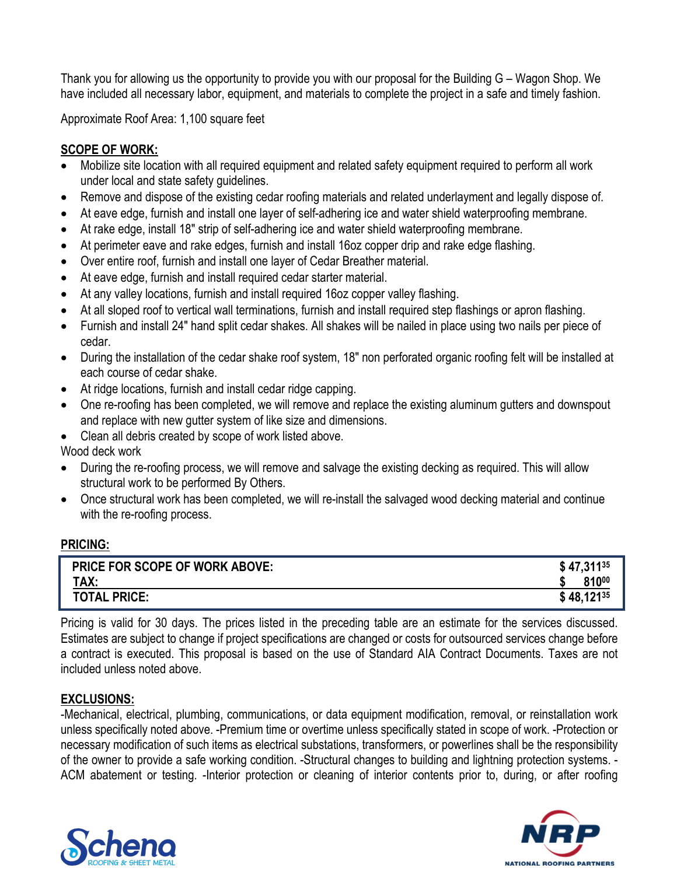Thank you for allowing us the opportunity to provide you with our proposal for the Building G – Wagon Shop. We have included all necessary labor, equipment, and materials to complete the project in a safe and timely fashion.

Approximate Roof Area: 1,100 square feet

## **SCOPE OF WORK:**

- Mobilize site location with all required equipment and related safety equipment required to perform all work under local and state safety guidelines.
- Remove and dispose of the existing cedar roofing materials and related underlayment and legally dispose of.
- At eave edge, furnish and install one layer of self-adhering ice and water shield waterproofing membrane.
- At rake edge, install 18" strip of self-adhering ice and water shield waterproofing membrane.
- At perimeter eave and rake edges, furnish and install 16oz copper drip and rake edge flashing.
- Over entire roof, furnish and install one layer of Cedar Breather material.
- At eave edge, furnish and install required cedar starter material.
- At any valley locations, furnish and install required 16oz copper valley flashing.
- At all sloped roof to vertical wall terminations, furnish and install required step flashings or apron flashing.
- Furnish and install 24" hand split cedar shakes. All shakes will be nailed in place using two nails per piece of cedar.
- During the installation of the cedar shake roof system, 18" non perforated organic roofing felt will be installed at each course of cedar shake.
- At ridge locations, furnish and install cedar ridge capping.
- One re-roofing has been completed, we will remove and replace the existing aluminum gutters and downspout and replace with new gutter system of like size and dimensions.
- Clean all debris created by scope of work listed above.

Wood deck work

- During the re-roofing process, we will remove and salvage the existing decking as required. This will allow structural work to be performed By Others.
- Once structural work has been completed, we will re-install the salvaged wood decking material and continue with the re-roofing process.

### **PRICING:**

| <b>PRICE FOR SCOPE OF WORK ABOVE:</b> | $$47,311^{35}$ |
|---------------------------------------|----------------|
| TAX:                                  | 81000          |
| <b>TOTAL PRICE:</b>                   | $$48,121^{35}$ |

Pricing is valid for 30 days. The prices listed in the preceding table are an estimate for the services discussed. Estimates are subject to change if project specifications are changed or costs for outsourced services change before a contract is executed. This proposal is based on the use of Standard AIA Contract Documents. Taxes are not included unless noted above.

### **EXCLUSIONS:**

-Mechanical, electrical, plumbing, communications, or data equipment modification, removal, or reinstallation work unless specifically noted above. -Premium time or overtime unless specifically stated in scope of work. -Protection or necessary modification of such items as electrical substations, transformers, or powerlines shall be the responsibility of the owner to provide a safe working condition. -Structural changes to building and lightning protection systems. - ACM abatement or testing. -Interior protection or cleaning of interior contents prior to, during, or after roofing



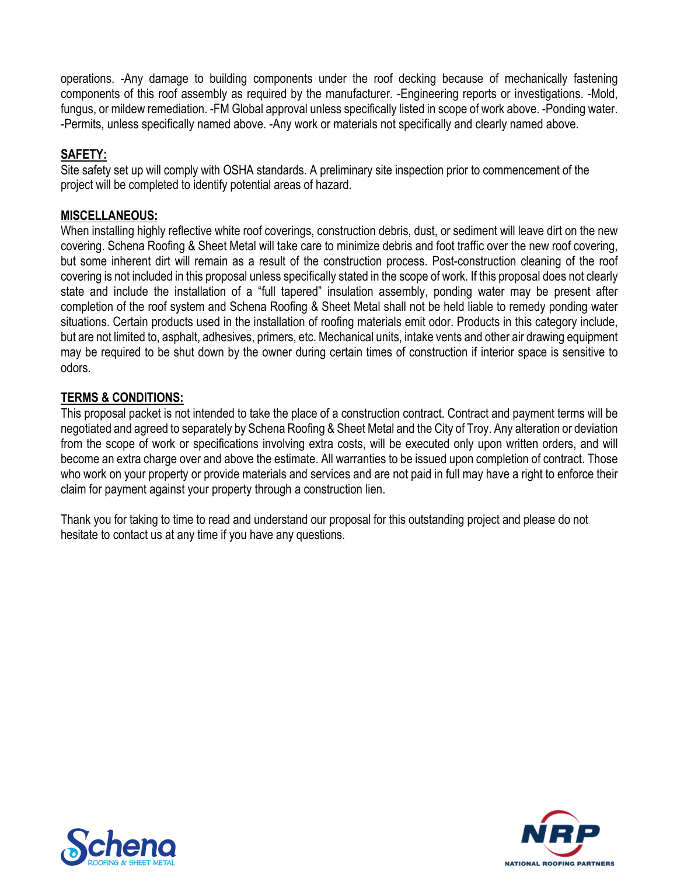operations. -Any damage to building components under the roof decking because of mechanically fastening components of this roof assembly as required by the manufacturer. -Engineering reports or investigations. -Mold, fungus, or mildew remediation. -FM Global approval unless specifically listed in scope of work above. -Ponding water. -Permits, unless specifically named above. -Any work or materials not specifically and clearly named above.

## **SAFETY:**

Site safety set up will comply with OSHA standards. A preliminary site inspection prior to commencement of the project will be completed to identify potential areas of hazard.

## **MISCELLANEOUS:**

When installing highly reflective white roof coverings, construction debris, dust, or sediment will leave dirt on the new covering. Schena Roofing & Sheet Metal will take care to minimize debris and foot traffic over the new roof covering, but some inherent dirt will remain as a result of the construction process. Post-construction cleaning of the roof covering is not included in this proposal unless specifically stated in the scope of work. If this proposal does not clearly state and include the installation of a "full tapered" insulation assembly, ponding water may be present after completion of the roof system and Schena Roofing & Sheet Metal shall not be held liable to remedy ponding water situations. Certain products used in the installation of roofing materials emit odor. Products in this category include, but are not limited to, asphalt, adhesives, primers, etc. Mechanical units, intake vents and other air drawing equipment may be required to be shut down by the owner during certain times of construction if interior space is sensitive to odors.

## **TERMS & CONDITIONS:**

This proposal packet is not intended to take the place of a construction contract. Contract and payment terms will be negotiated and agreed to separately by Schena Roofing & Sheet Metal and the City of Troy. Any alteration or deviation from the scope of work or specifications involving extra costs, will be executed only upon written orders, and will become an extra charge over and above the estimate. All warranties to be issued upon completion of contract. Those who work on your property or provide materials and services and are not paid in full may have a right to enforce their claim for payment against your property through a construction lien.

Thank you for taking to time to read and understand our proposal for this outstanding project and please do not hesitate to contact us at any time if you have any questions.